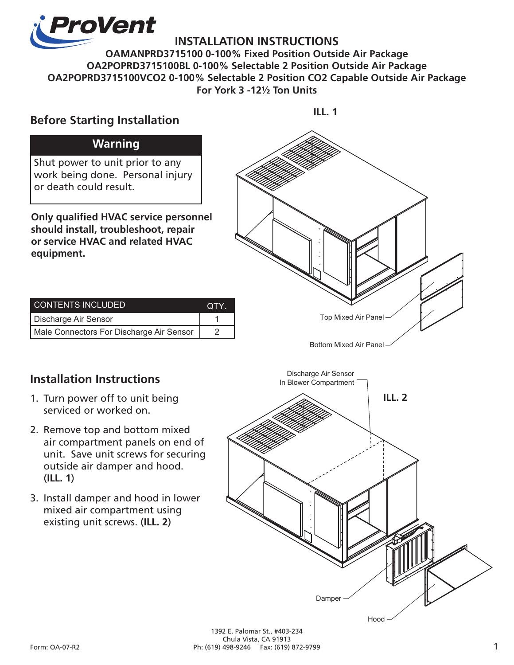

**INSTALLATION INSTRUCTIONS OAMANPRD3715100 0-100% Fixed Position Outside Air Package OA2POPRD3715100BL 0-100% Selectable 2 Position Outside Air Package OA2POPRD3715100VCO2 0-100% Selectable 2 Position CO2 Capable Outside Air Package For York 3 -12½ Ton Units**

## **Before Starting Installation**

**ILL. 1**



Damper

Hood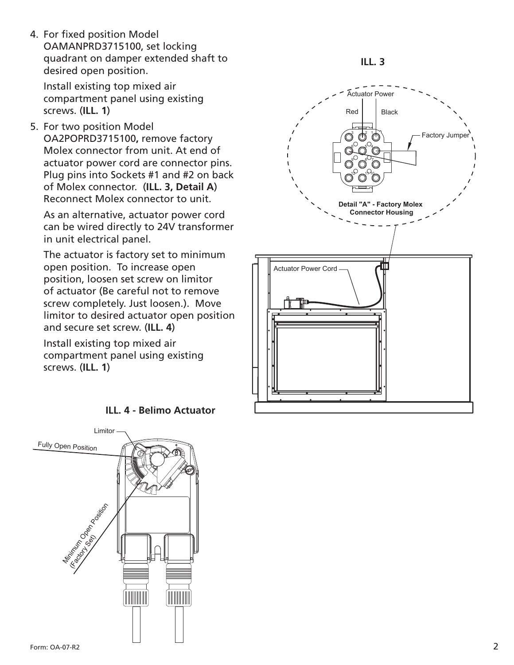4. For fixed position Model OAMANPRD3715100, set locking quadrant on damper extended shaft to desired open position.

Install existing top mixed air compartment panel using existing screws. (**ILL. 1**)

5. For two position Model OA2POPRD3715100**,** remove factory Molex connector from unit. At end of actuator power cord are connector pins. Plug pins into Sockets #1 and #2 on back of Molex connector. (**ILL. 3, Detail A**) Reconnect Molex connector to unit.

As an alternative, actuator power cord can be wired directly to 24V transformer in unit electrical panel.

The actuator is factory set to minimum open position. To increase open position, loosen set screw on limitor of actuator (Be careful not to remove screw completely. Just loosen.). Move limitor to desired actuator open position and secure set screw. (**ILL. 4**)

Install existing top mixed air compartment panel using existing screws. (**ILL. 1**)





**ILL. 4 - Belimo Actuator**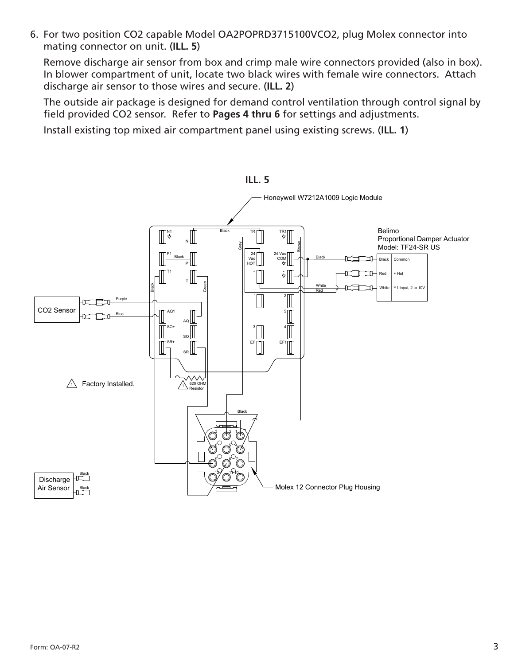6. For two position CO2 capable Model OA2POPRD3715100VCO2, plug Molex connector into mating connector on unit. (**ILL. 5**)

Remove discharge air sensor from box and crimp male wire connectors provided (also in box). In blower compartment of unit, locate two black wires with female wire connectors. Attach discharge air sensor to those wires and secure. (**ILL. 2**)

The outside air package is designed for demand control ventilation through control signal by field provided CO2 sensor. Refer to **Pages 4 thru 6** for settings and adjustments.

Install existing top mixed air compartment panel using existing screws. (**ILL. 1**)

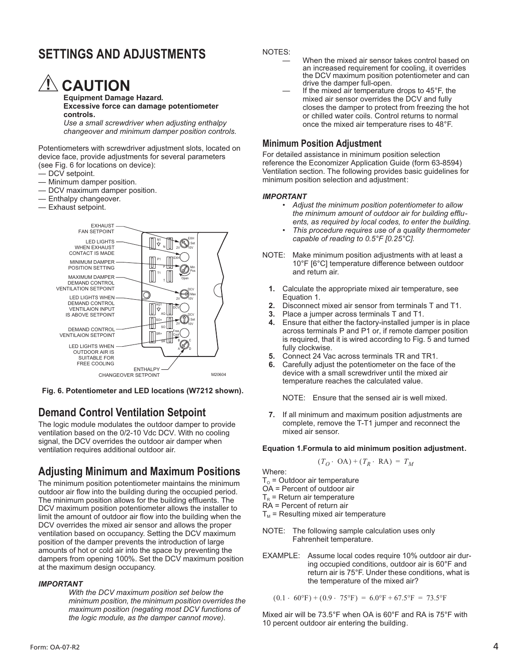## **SETTINGS AND ADJUSTMENTS**

# **CAUTION**

**Equipment Damage Hazard. Excessive force can damage potentiometer controls.**

*Use a small screwdriver when adjusting enthalpy changeover and minimum damper position controls.*

Potentiometers with screwdriver adjustment slots, located on device face, provide adjustments for several parameters (see Fig. 6 for locations on device):

- DCV setpoint.
- Minimum damper position.
- DCV maximum damper position.
- Enthalpy changeover.
- Exhaust setpoint.



**Fig. 6. Potentiometer and LED locations (W7212 shown).**

### **Demand Control Ventilation Setpoint**

The logic module modulates the outdoor damper to provide ventilation based on the 0/2-10 Vdc DCV. With no cooling signal, the DCV overrides the outdoor air damper when ventilation requires additional outdoor air.

### **Adjusting Minimum and Maximum Positions**

The minimum position potentiometer maintains the minimum outdoor air flow into the building during the occupied period. The minimum position allows for the building effluents. The DCV maximum position potentiometer allows the installer to limit the amount of outdoor air flow into the building when the DCV overrides the mixed air sensor and allows the proper ventilation based on occupancy. Setting the DCV maximum position of the damper prevents the introduction of large amounts of hot or cold air into the space by preventing the dampers from opening 100%. Set the DCV maximum position at the maximum design occupancy.

#### *IMPORTANT*

*With the DCV maximum position set below the minimum position, the minimum position overrides the maximum position (negating most DCV functions of the logic module, as the damper cannot move).*

NOTES:

- When the mixed air sensor takes control based on an increased requirement for cooling, it overrides the DCV maximum position potentiometer and can drive the damper full-open.
- If the mixed air temperature drops to  $45^{\circ}$ F, the mixed air sensor overrides the DCV and fully closes the damper to protect from freezing the hot or chilled water coils. Control returns to normal once the mixed air temperature rises to 48°F.

#### **Minimum Position Adjustment**

For detailed assistance in minimum position selection reference the Economizer Application Guide (form 63-8594) Ventilation section. The following provides basic guidelines for minimum position selection and adjustment:

#### *IMPORTANT*

- *• Adjust the minimum position potentiometer to allow the minimum amount of outdoor air for building effluents, as required by local codes, to enter the building.*
- *• This procedure requires use of a quality thermometer capable of reading to 0.5°F [0.25°C].*
- NOTE: Make minimum position adjustments with at least a 10°F [6°C] temperature difference between outdoor and return air.
	- **1.** Calculate the appropriate mixed air temperature, see Equation 1.
	- **2.** Disconnect mixed air sensor from terminals T and T1.
	- **3.** Place a jumper across terminals T and T1.
	- **4.** Ensure that either the factory-installed jumper is in place across terminals P and P1 or, if remote damper position is required, that it is wired according to Fig. 5 and turned fully clockwise.
	- **5.** Connect 24 Vac across terminals TR and TR1.
	- **6.** Carefully adjust the potentiometer on the face of the device with a small screwdriver until the mixed air temperature reaches the calculated value.

NOTE: Ensure that the sensed air is well mixed.

**7.** If all minimum and maximum position adjustments are complete, remove the T-T1 jumper and reconnect the mixed air sensor.

**Equation 1.Formula to aid minimum position adjustment.**

$$
(T_O \cdot \text{ OA}) + (T_R \cdot \text{ RA}) = T_M
$$

Where:

 $T<sub>o</sub>$  = Outdoor air temperature

- OA = Percent of outdoor air
- $T_R$  = Return air temperature

RA = Percent of return air

 $T_M$  = Resulting mixed air temperature

- NOTE: The following sample calculation uses only Fahrenheit temperature.
- EXAMPLE: Assume local codes require 10% outdoor air during occupied conditions, outdoor air is 60°F and return air is 75°F. Under these conditions, what is the temperature of the mixed air?

 $(0.1 \cdot 60^{\circ}F) + (0.9 \cdot 75^{\circ}F) = 6.0^{\circ}F + 67.5^{\circ}F = 73.5^{\circ}F$ 

Mixed air will be 73.5°F when OA is 60°F and RA is 75°F with 10 percent outdoor air entering the building.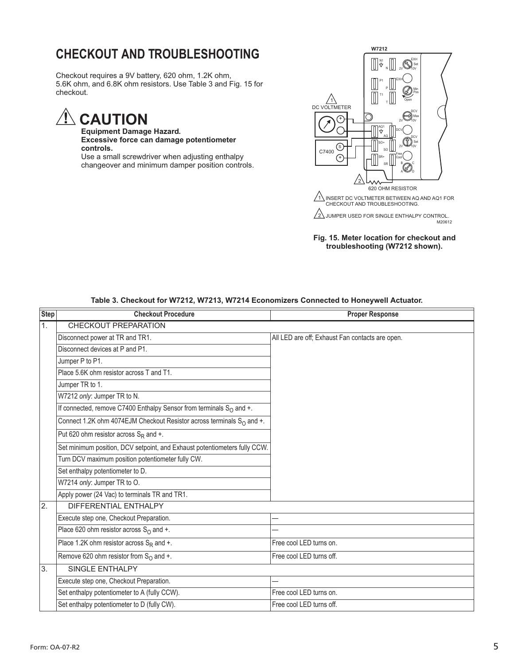# **CHECKOUT AND TROUBLESHOOTING**

Checkout requires a 9V battery, 620 ohm, 1.2K ohm, 5.6K ohm, and 6.8K ohm resistors. Use Table 3 and Fig. 15 for checkout.

# **CAUTION**

**Equipment Damage Hazard. Excessive force can damage potentiometer controls.**

Use a small screwdriver when adjusting enthalpy changeover and minimum damper position controls.



#### **Fig. 15. Meter location for checkout and troubleshooting (W7212 shown).**

| <b>Step</b>      | <b>Checkout Procedure</b>                                                   | <b>Proper Response</b>                          |  |
|------------------|-----------------------------------------------------------------------------|-------------------------------------------------|--|
| $\overline{1}$ . | <b>CHECKOUT PREPARATION</b>                                                 |                                                 |  |
|                  | Disconnect power at TR and TR1.                                             | All LED are off; Exhaust Fan contacts are open. |  |
|                  | Disconnect devices at P and P1.                                             |                                                 |  |
|                  | Jumper P to P1.                                                             |                                                 |  |
|                  | Place 5.6K ohm resistor across T and T1.                                    |                                                 |  |
|                  | Jumper TR to 1.                                                             |                                                 |  |
|                  | W7212 only: Jumper TR to N.                                                 |                                                 |  |
|                  | If connected, remove C7400 Enthalpy Sensor from terminals $S_0$ and +.      |                                                 |  |
|                  | Connect 1.2K ohm 4074EJM Checkout Resistor across terminals $S_0$ and $+$ . |                                                 |  |
|                  | Put 620 ohm resistor across $S_R$ and +.                                    |                                                 |  |
|                  | Set minimum position, DCV setpoint, and Exhaust potentiometers fully CCW.   |                                                 |  |
|                  | Turn DCV maximum position potentiometer fully CW.                           |                                                 |  |
|                  | Set enthalpy potentiometer to D.                                            |                                                 |  |
|                  | W7214 only: Jumper TR to O.                                                 |                                                 |  |
|                  | Apply power (24 Vac) to terminals TR and TR1.                               |                                                 |  |
| $\overline{2}$ . | DIFFERENTIAL ENTHALPY                                                       |                                                 |  |
|                  | Execute step one, Checkout Preparation.                                     |                                                 |  |
|                  | Place 620 ohm resistor across $S_0$ and +.                                  |                                                 |  |
|                  | Place 1.2K ohm resistor across $S_R$ and +.                                 | Free cool LED turns on.                         |  |
|                  | Remove 620 ohm resistor from $S_O$ and +.                                   | Free cool LED turns off.                        |  |
| $\overline{3}$ . | <b>SINGLE ENTHALPY</b>                                                      |                                                 |  |
|                  | Execute step one, Checkout Preparation.                                     |                                                 |  |
|                  | Set enthalpy potentiometer to A (fully CCW).                                | Free cool LED turns on.                         |  |
|                  | Set enthalpy potentiometer to D (fully CW).                                 | Free cool LED turns off.                        |  |

#### **Table 3. Checkout for W7212, W7213, W7214 Economizers Connected to Honeywell Actuator.**